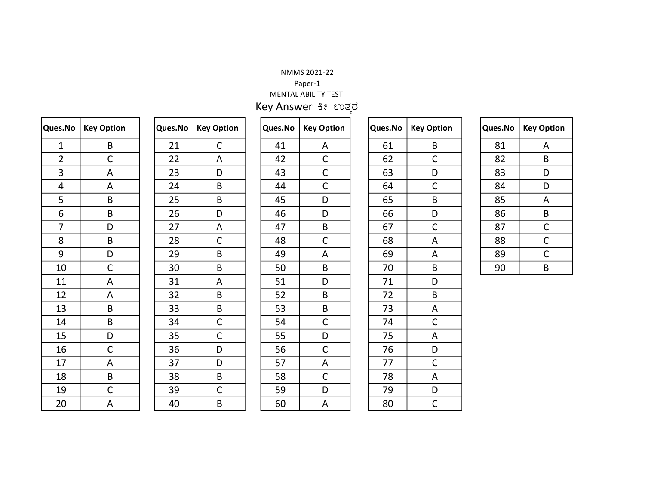## NMMS 2021-22

## Paper-1

MENTAL ABILITY TEST Key Answer ಕೀ ಉತ್ತರ

| Ques.No        | <b>Key Option</b>       |
|----------------|-------------------------|
| $\mathbf{1}$   | B                       |
| $\frac{2}{3}$  | $\mathsf{C}$            |
|                | A                       |
| $\overline{4}$ | A                       |
| $\overline{5}$ | B                       |
| $\overline{6}$ | B                       |
| $\overline{7}$ | D                       |
| 8              | B                       |
| 9              | D                       |
| 10             | $\overline{C}$          |
| 11             | A                       |
| 12             | A                       |
| 13             | B                       |
| 14             | B                       |
| 15             | D                       |
| 16             | $\overline{C}$          |
| 17             | $\overline{A}$          |
| 18             | $\overline{B}$          |
| 19             | $\overline{C}$          |
| 20             | $\overline{\mathsf{A}}$ |

| Ques.No | <b>Key Option</b> |
|---------|-------------------|
| 21      | $\overline{C}$    |
| 22      | $\overline{A}$    |
| 23      | D                 |
| 24      | B                 |
| 25      | B                 |
| 26      | D                 |
| 27      | A                 |
| 28      | $\mathsf{C}$      |
| 29      | B                 |
| 30      | B                 |
| 31      | A                 |
| 32      | B                 |
| 33      | В                 |
| 34      | $rac{C}{C}$       |
| 35      |                   |
| 36      | D                 |
| 37      | D                 |
| 38      | В                 |
| 39      | $\mathsf{C}$      |
| 40      | B                 |

| Ques.No | <b>Key Option</b>         |
|---------|---------------------------|
| 41      |                           |
| 42      | $rac{A}{C}$ $rac{C}{C}$   |
| 43      |                           |
| 44      |                           |
| 45      | $\overline{\mathsf{D}}$   |
| 46      | D                         |
| 47      | B                         |
| 48      | $\mathsf{C}$              |
| 49      | Ā                         |
| 50      | B                         |
| 51      | D                         |
| 52      | B                         |
| 53      | B                         |
| 54      |                           |
| 55      | $rac{C}{D}$               |
| 56      | $rac{C}{A}$               |
| 57      |                           |
| 58      | $\overline{\overline{C}}$ |
| 59      | $\overline{D}$            |
| 60      | A                         |

| Ques.No | <b>Key Option</b>       |
|---------|-------------------------|
| 61      | B                       |
| 62      | $\mathsf{C}$            |
| 63      | $\overline{D}$          |
| 64      | $\mathsf{C}$            |
| 65      | B                       |
| 66      | $\overline{D}$          |
| 67      | $\mathsf{C}$            |
| 68      | $\overline{A}$          |
| 69      | A                       |
| 70      | B                       |
| 71      | D                       |
| 72      | B                       |
| 73      | A                       |
| 74      | $\overline{C}$          |
| 75      | $\overline{A}$          |
| 76      | $\overline{\mathsf{D}}$ |
| 77      | $\overline{C}$          |
| 78      | $\overline{A}$          |
| 79      | $\overline{D}$          |
| 80      | Ċ                       |

| Ques.No | <b>Key Option</b> |
|---------|-------------------|
| 81      | Α                 |
| 82      | B                 |
| 83      | D                 |
| 84      | D                 |
| 85      | Α                 |
| 86      | В                 |
| 87      | C                 |
| 88      | $\overline{C}$    |
| 89      | C                 |
| 90      | В                 |